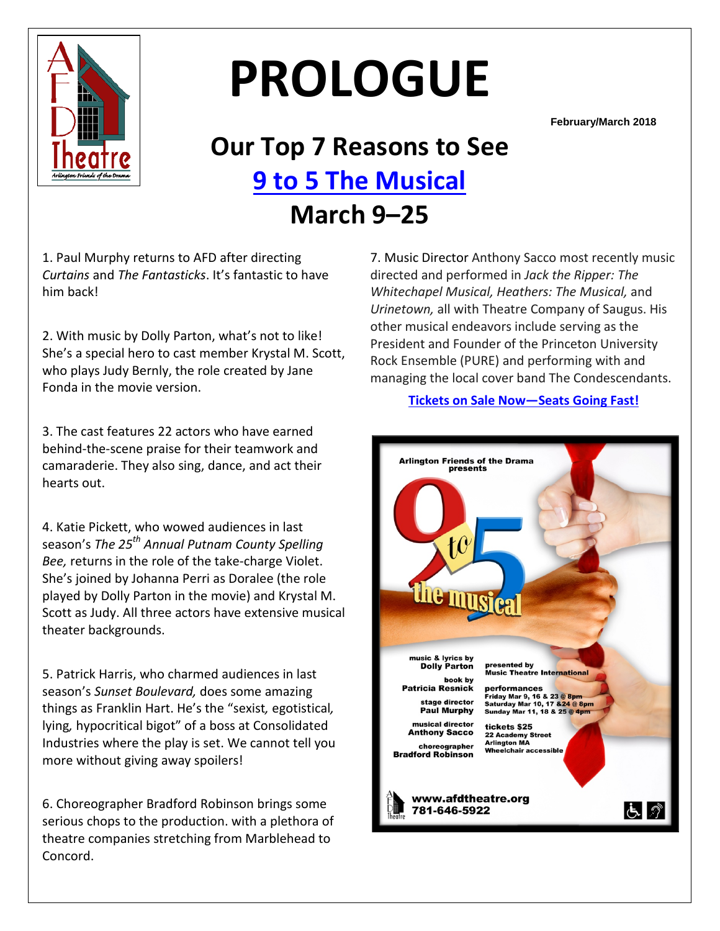

# **PROLOGUE**

**February/March 2018**

# **Our Top 7 Reasons to See 9 [to 5 The Musical](https://www.afdtheatre.org/up-next) March 9–25**

1. Paul Murphy returns to AFD after directing *Curtains* and *The Fantasticks*. It's fantastic to have him back!

2. With music by Dolly Parton, what's not to like! She's a special hero to cast member Krystal M. Scott, who plays Judy Bernly, the role created by Jane Fonda in the movie version.

3. The cast features 22 actors who have earned behind-the-scene praise for their teamwork and camaraderie. They also sing, dance, and act their hearts out.

4. Katie Pickett, who wowed audiences in last season's *The 25th Annual Putnam County Spelling Bee,* returns in the role of the take-charge Violet. She's joined by Johanna Perri as Doralee (the role played by Dolly Parton in the movie) and Krystal M. Scott as Judy. All three actors have extensive musical theater backgrounds.

5. Patrick Harris, who charmed audiences in last season's *Sunset Boulevard,* does some amazing things as Franklin Hart. He's the "sexist*,* egotistical*,*  lying*,* hypocritical bigot" of a boss at Consolidated Industries where the play is set. We cannot tell you more without giving away spoilers!

6. Choreographer Bradford Robinson brings some serious chops to the production. with a plethora of theatre companies stretching from Marblehead to Concord.

7. Music Director Anthony Sacco most recently music directed and performed in *Jack the Ripper: The Whitechapel Musical, Heathers: The Musical,* and *Urinetown,* all with Theatre Company of Saugus. His other musical endeavors include serving as the President and Founder of the Princeton University Rock Ensemble (PURE) and performing with and managing the local cover band The Condescendants.

#### **[Tickets on Sale Now—Seats Going Fast!](http://www.ticketstage.com/T/AFD)**

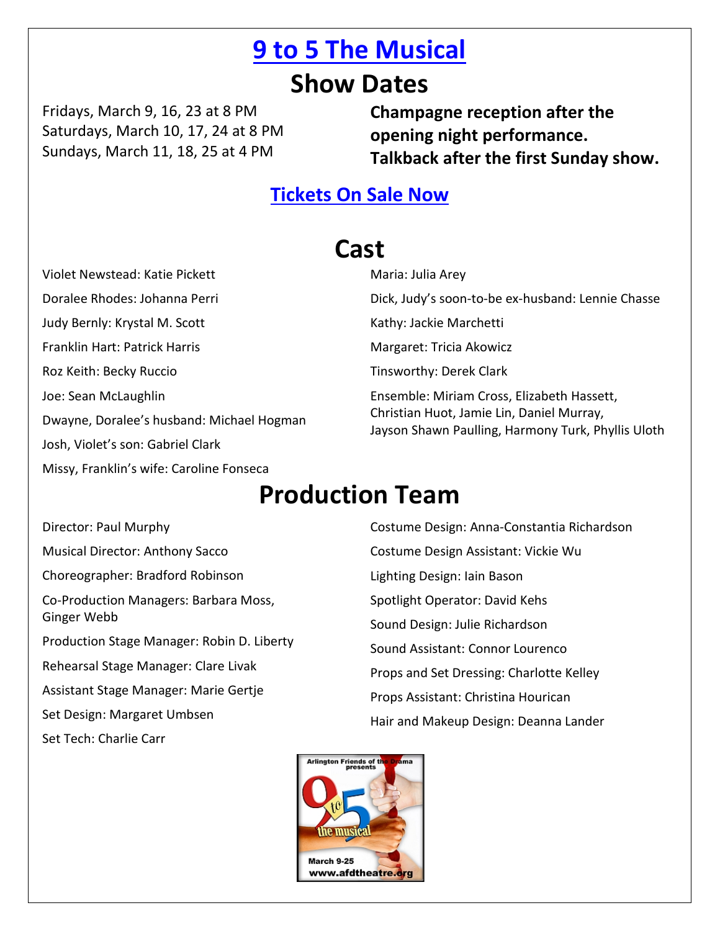### **[9 to 5 The Musical](https://www.afdtheatre.org/up-next)**

### **Show Dates**

Fridays, March 9, 16, 23 at 8 PM Saturdays, March 10, 17, 24 at 8 PM Sundays, March 11, 18, 25 at 4 PM

**Champagne reception after the opening night performance. Talkback after the first Sunday show.**

### **Tickets [On Sale Now](http://www.ticketstage.com/T/AFD)**

### **Cast**

Violet Newstead: Katie Pickett Doralee Rhodes: Johanna Perri Judy Bernly: Krystal M. Scott Franklin Hart: Patrick Harris Roz Keith: Becky Ruccio Joe: Sean McLaughlin Dwayne, Doralee's husband: Michael Hogman Josh, Violet's son: Gabriel Clark Missy, Franklin's wife: Caroline Fonseca

Maria: Julia Arey Dick, Judy's soon-to-be ex-husband: Lennie Chasse Kathy: Jackie Marchetti Margaret: Tricia Akowicz Tinsworthy: Derek Clark Ensemble: Miriam Cross, Elizabeth Hassett, Christian Huot, Jamie Lin, Daniel Murray, Jayson Shawn Paulling, Harmony Turk, Phyllis Uloth

### **Production Team**

Director: Paul Murphy Musical Director: Anthony Sacco Choreographer: Bradford Robinson Co-Production Managers: Barbara Moss, Ginger Webb Production Stage Manager: Robin D. Liberty Rehearsal Stage Manager: Clare Livak Assistant Stage Manager: Marie Gertje Set Design: Margaret Umbsen

Set Tech: Charlie Carr

Costume Design: Anna-Constantia Richardson Costume Design Assistant: Vickie Wu Lighting Design: Iain Bason Spotlight Operator: David Kehs Sound Design: Julie Richardson Sound Assistant: Connor Lourenco Props and Set Dressing: Charlotte Kelley Props Assistant: Christina Hourican Hair and Makeup Design: Deanna Lander

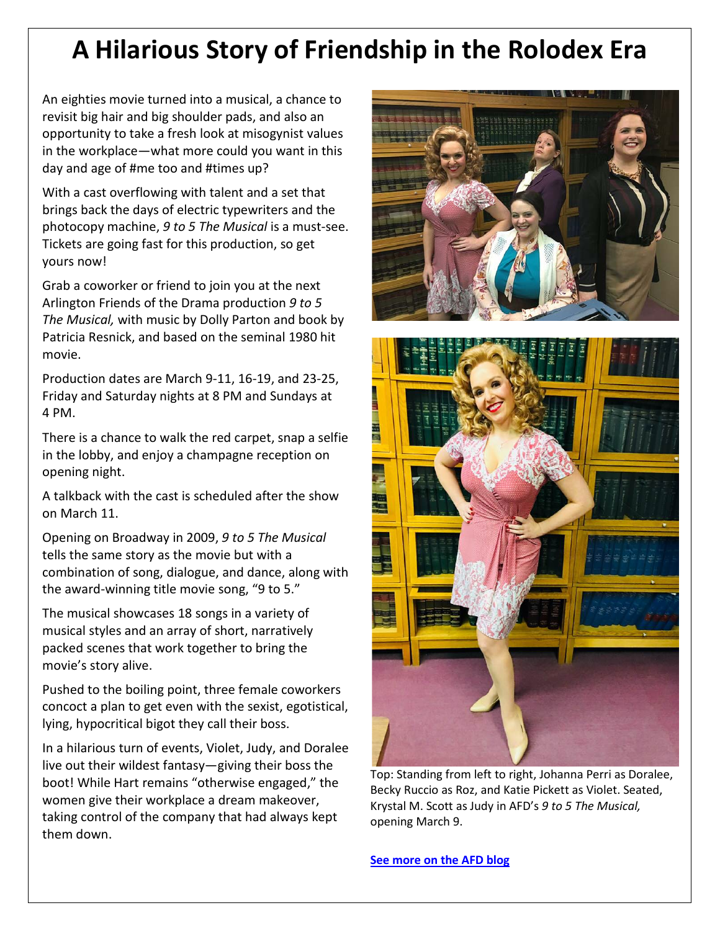### **A Hilarious Story of Friendship in the Rolodex Era**

An eighties movie turned into a musical, a chance to revisit big hair and big shoulder pads, and also an opportunity to take a fresh look at misogynist values in the workplace—what more could you want in this day and age of #me too and #times up?

With a cast overflowing with talent and a set that brings back the days of electric typewriters and the photocopy machine, *9 to 5 The Musical* is a must-see. Tickets are going fast for this production, so get yours now!

Grab a coworker or friend to join you at the next Arlington Friends of the Drama production *9 to 5 The Musical,* with music by Dolly Parton and book by Patricia Resnick, and based on the seminal 1980 hit movie.

Production dates are March 9-11, 16-19, and 23-25, Friday and Saturday nights at 8 PM and Sundays at 4 PM.

There is a chance to walk the red carpet, snap a selfie in the lobby, and enjoy a champagne reception on opening night.

A talkback with the cast is scheduled after the show on March 11.

Opening on Broadway in 2009, *9 to 5 The Musical*  tells the same story as the movie but with a combination of song, dialogue, and dance, along with the award-winning title movie song, "9 to 5."

The musical showcases 18 songs in a variety of musical styles and an array of short, narratively packed scenes that work together to bring the movie's story alive.

Pushed to the boiling point, three female coworkers concoct a plan to get even with the sexist, egotistical, lying, hypocritical bigot they call their boss.

In a hilarious turn of events, Violet, Judy, and Doralee live out their wildest fantasy—giving their boss the boot! While Hart remains "otherwise engaged," the women give their workplace a dream makeover, taking control of the company that had always kept them down.





Top: Standing from left to right, Johanna Perri as Doralee, Becky Ruccio as Roz, and Katie Pickett as Violet. Seated, Krystal M. Scott as Judy in AFD's *9 to 5 The Musical,* opening March 9.

**[See more on the AFD blog](https://www.afdtheatre.org/blog)**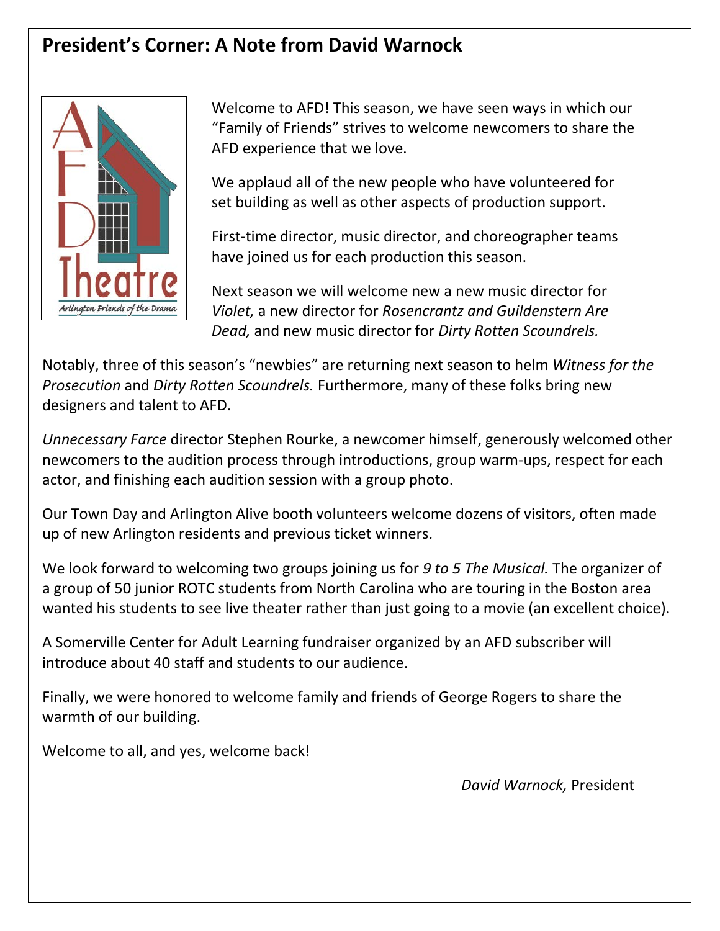### **President's Corner: A Note from David Warnock**



Welcome to AFD! This season, we have seen ways in which our "Family of Friends" strives to welcome newcomers to share the AFD experience that we love.

We applaud all of the new people who have volunteered for set building as well as other aspects of production support.

First-time director, music director, and choreographer teams have joined us for each production this season.

Next season we will welcome new a new music director for *Violet,* a new director for *Rosencrantz and Guildenstern Are Dead,* and new music director for *Dirty Rotten Scoundrels.*

Notably, three of this season's "newbies" are returning next season to helm *Witness for the Prosecution* and *Dirty Rotten Scoundrels.* Furthermore, many of these folks bring new designers and talent to AFD.

*Unnecessary Farce* director Stephen Rourke, a newcomer himself, generously welcomed other newcomers to the audition process through introductions, group warm-ups, respect for each actor, and finishing each audition session with a group photo.

Our Town Day and Arlington Alive booth volunteers welcome dozens of visitors, often made up of new Arlington residents and previous ticket winners.

We look forward to welcoming two groups joining us for *9 to 5 The Musical.* The organizer of a group of 50 junior ROTC students from North Carolina who are touring in the Boston area wanted his students to see live theater rather than just going to a movie (an excellent choice).

A Somerville Center for Adult Learning fundraiser organized by an AFD subscriber will introduce about 40 staff and students to our audience.

Finally, we were honored to welcome family and friends of George Rogers to share the warmth of our building.

Welcome to all, and yes, welcome back!

*David Warnock,* President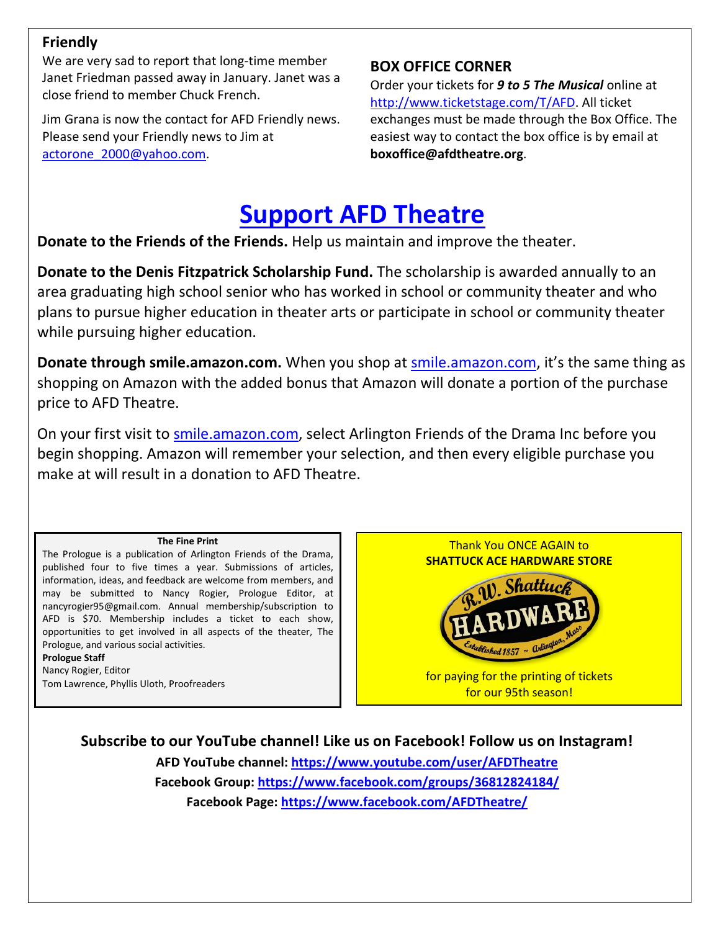#### **Friendly**

We are very sad to report that long-time member Janet Friedman passed away in January. Janet was a close friend to member Chuck French.

Jim Grana is now the contact for AFD Friendly news. Please send your Friendly news to Jim at [actorone\\_2000@yahoo.com.](mailto:actorone_2000@yahoo.com)

### **BOX OFFICE CORNER**

Order your tickets for *9 to 5 The Musical* online at [http://www.ticketstage.com/T/AFD.](http://www.ticketstage.com/T/AFD) All ticket exchanges must be made through the Box Office. The easiest way to contact the box office is by email at **boxoffice@afdtheatre.org**.

## **[Support](https://www.afdtheatre.org/donate) AFD Theatre**

**Donate to the Friends of the Friends.** Help us maintain and improve the theater.

**Donate to the Denis Fitzpatrick Scholarship Fund.** The scholarship is awarded annually to an area graduating high school senior who has worked in school or community theater and who plans to pursue higher education in theater arts or participate in school or community theater while pursuing higher education.

**Donate through smile.amazon.com.** When you shop at [smile.amazon.com,](https://smile.amazon.com/) it's the same thing as shopping on Amazon with the added bonus that Amazon will donate a portion of the purchase price to AFD Theatre.

On your first visit to [smile.amazon.com,](https://smile.amazon.com/) select Arlington Friends of the Drama Inc before you begin shopping. Amazon will remember your selection, and then every eligible purchase you make at will result in a donation to AFD Theatre.

#### **The Fine Print**

The Prologue is a publication of Arlington Friends of the Drama, published four to five times a year. Submissions of articles, information, ideas, and feedback are welcome from members, and may be submitted to Nancy Rogier, Prologue Editor, at nancyrogier95@gmail.com. Annual membership/subscription to AFD is \$70. Membership includes a ticket to each show, opportunities to get involved in all aspects of the theater, The Prologue, and various social activities.

**Prologue Staff** Nancy Rogier, Editor Tom Lawrence, Phyllis Uloth, Proofreaders

Thank You ONCE AGAIN to **SHATTUCK ACE HARDWARE STORE**



for paying for the printing of tickets for our 95th season!

**Subscribe to our YouTube channel! Like us on Facebook! Follow us on Instagram!**

**AFD YouTube channel: <https://www.youtube.com/user/AFDTheatre> Facebook Group:<https://www.facebook.com/groups/36812824184/> Facebook Page:<https://www.facebook.com/AFDTheatre/>**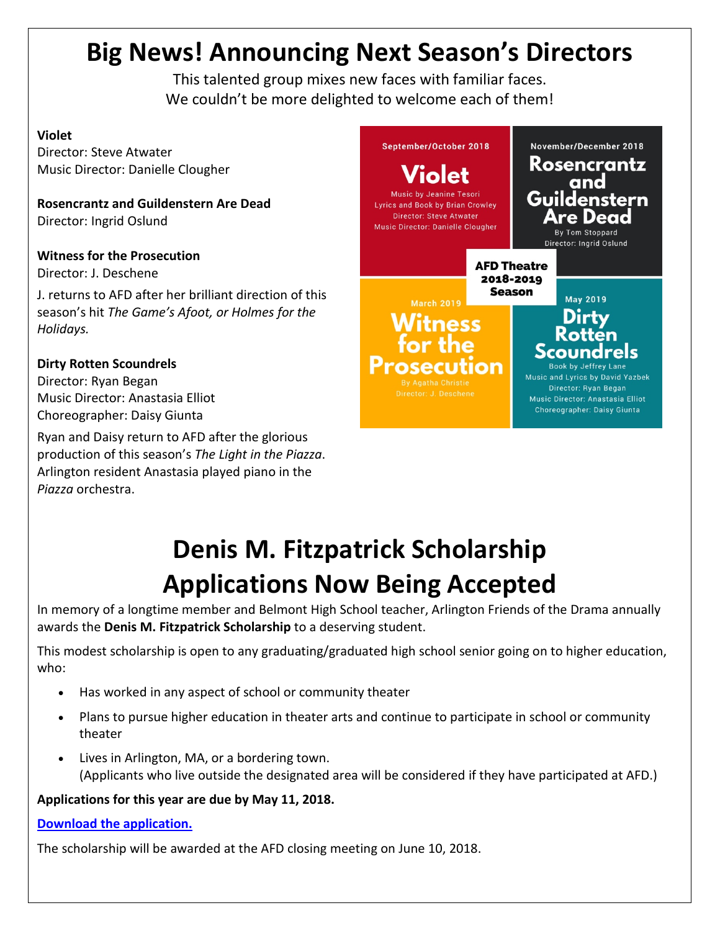# **Big News! Announcing Next Season's Directors**

This talented group mixes new faces with familiar faces. We couldn't be more delighted to welcome each of them!

#### **Violet**

Director: Steve Atwater Music Director: Danielle Clougher

**Rosencrantz and Guildenstern Are Dead** Director: Ingrid Oslund

### **Witness for the Prosecution**

Director: J. Deschene

J. returns to AFD after her brilliant direction of this season's hit *The Game's Afoot, or Holmes for the Holidays.*

#### **Dirty Rotten Scoundrels**

Director: Ryan Began Music Director: Anastasia Elliot Choreographer: Daisy Giunta

Ryan and Daisy return to AFD after the glorious production of this season's *The Light in the Piazza*. Arlington resident Anastasia played piano in the *Piazza* orchestra.



# **Denis M. Fitzpatrick Scholarship Applications Now Being Accepted**

In memory of a longtime member and Belmont High School teacher, Arlington Friends of the Drama annually awards the **Denis M. Fitzpatrick Scholarship** to a deserving student.

This modest scholarship is open to any graduating/graduated high school senior going on to higher education, who:

- Has worked in any aspect of school or community theater
- Plans to pursue higher education in theater arts and continue to participate in school or community theater
- Lives in Arlington, MA, or a bordering town. (Applicants who live outside the designated area will be considered if they have participated at AFD.)

#### **Applications for this year are due by May 11, 2018.**

#### **[Download the application.](https://docs.wixstatic.com/ugd/28e0aa_228be463e05e478d9d5b626dde6636d8.docx?dn=Scholarship%20Application%202018_draft%204_logo.docx)**

The scholarship will be awarded at the AFD closing meeting on June 10, 2018.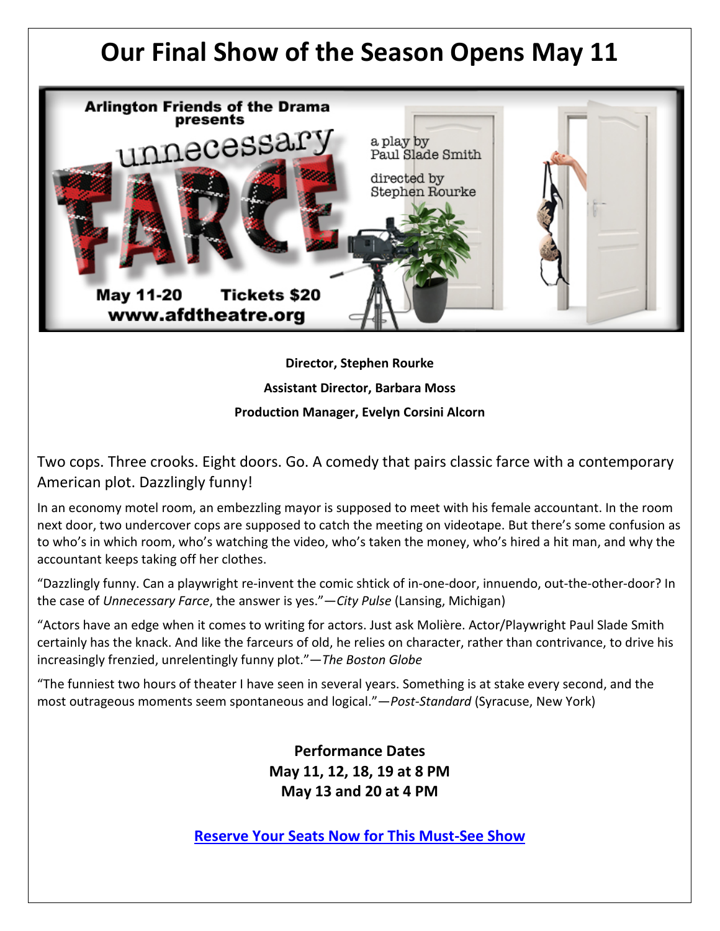### **Our Final Show of the Season Opens May 11**



**Director, Stephen Rourke Assistant Director, Barbara Moss Production Manager, Evelyn Corsini Alcorn**

Two cops. Three crooks. Eight doors. Go. A comedy that pairs classic farce with a contemporary American plot. Dazzlingly funny!

In an economy motel room, an embezzling mayor is supposed to meet with his female accountant. In the room next door, two undercover cops are supposed to catch the meeting on videotape. But there's some confusion as to who's in which room, who's watching the video, who's taken the money, who's hired a hit man, and why the accountant keeps taking off her clothes.

"Dazzlingly funny. Can a playwright re-invent the comic shtick of in-one-door, innuendo, out-the-other-door? In the case of *Unnecessary Farce*, the answer is yes."—*City Pulse* (Lansing, Michigan)

"Actors have an edge when it comes to writing for actors. Just ask Molière. Actor/Playwright Paul Slade Smith certainly has the knack. And like the farceurs of old, he relies on character, rather than contrivance, to drive his increasingly frenzied, unrelentingly funny plot."—*The Boston Globe*

"The funniest two hours of theater I have seen in several years. Something is at stake every second, and the most outrageous moments seem spontaneous and logical."—*Post-Standard* (Syracuse, New York)

> **Performance Dates May 11, 12, 18, 19 at 8 PM May 13 and 20 at 4 PM**

**[Reserve Your Seats Now for This Must-See Show](http://www.ticketstage.com/T/AFD)**